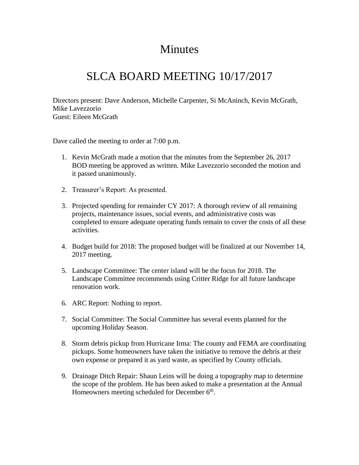## Minutes

## SLCA BOARD MEETING 10/17/2017

Directors present: Dave Anderson, Michelle Carpenter, Si McAninch, Kevin McGrath, Mike Lavezzorio Guest: Eileen McGrath

Dave called the meeting to order at 7:00 p.m.

- 1. Kevin McGrath made a motion that the minutes from the September 26, 2017 BOD meeting be approved as written. Mike Lavezzorio seconded the motion and it passed unanimously.
- 2. Treasurer's Report: As presented.
- 3. Projected spending for remainder CY 2017: A thorough review of all remaining projects, maintenance issues, social events, and administrative costs was completed to ensure adequate operating funds remain to cover the costs of all these activities.
- 4. Budget build for 2018: The proposed budget will be finalized at our November 14, 2017 meeting.
- 5. Landscape Committee: The center island will be the focus for 2018. The Landscape Committee recommends using Critter Ridge for all future landscape renovation work.
- 6. ARC Report: Nothing to report.
- 7. Social Committee: The Social Committee has several events planned for the upcoming Holiday Season.
- 8. Storm debris pickup from Hurricane Irma: The county and FEMA are coordinating pickups. Some homeowners have taken the initiative to remove the debris at their own expense or prepared it as yard waste, as specified by County officials.
- 9. Drainage Ditch Repair: Shaun Leins will be doing a topography map to determine the scope of the problem. He has been asked to make a presentation at the Annual Homeowners meeting scheduled for December 6<sup>th</sup>.